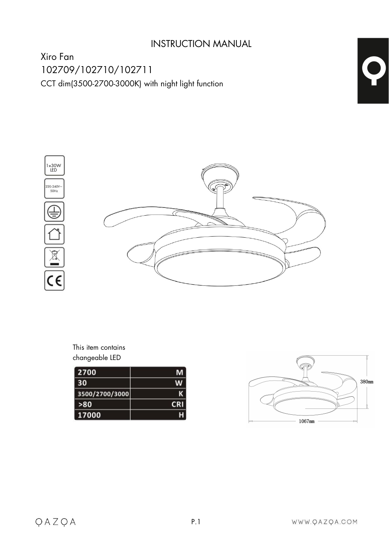# INSTRUCTION MANUAL

Xiro Fan 102709/102710/102711 CCT dim(3500-2700-3000K) with night light function



This item contains changeable LED

| 2700           | м            |
|----------------|--------------|
| 30             | w            |
| 3500/2700/3000 |              |
| >80            | $\mathbf{a}$ |
| 17000          |              |

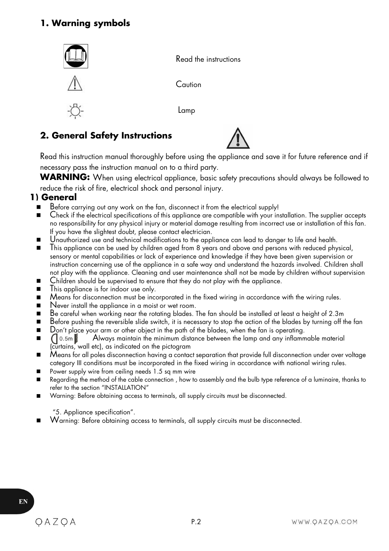# **1. Warning symbols**



## **2. General Safety Instructions**



Read this instruction manual thoroughly before using the appliance and save it for future reference and if necessary pass the instruction manual on to a third party.

**WARNING:** When using electrical appliance, basic safety precautions should always be followed to reduce the risk of fire, electrical shock and personal injury.

## **1) General**

- $\blacksquare$  Before carrying out any work on the fan, disconnect it from the electrical supply!
- Check if the electrical specifications of this appliance are compatible with your installation. The supplier accepts no responsibility for any physical injury or material damage resulting from incorrect use or installation of this fan. If you have the slightest doubt, please contact electrician.
- Unauthorized use and technical modifications to the appliance can lead to danger to life and health.
- This appliance can be used by children aged from 8 years and above and persons with reduced physical, sensory or mental capabilities or lack of experience and knowledge if they have been given supervision or instruction concerning use of the appliance in a safe way and understand the hazards involved. Children shall not play with the appliance. Cleaning and user maintenance shall not be made by children without supervision
- Children should be supervised to ensure that they do not play with the appliance.
- This appliance is for indoor use only.
- Means for disconnection must be incorporated in the fixed wiring in accordance with the wiring rules.<br>■ Never install the appliance in a moist or wet room
- Never install the appliance in a moist or wet room.
- $\blacksquare$  Be careful when working near the rotating blades. The fan should be installed at least a height of 2.3m
- $\blacksquare$  Before pushing the reversible slide switch, it is necessary to stop the action of the blades by turning off the fan<br> $\blacksquare$  Don't place your arm or other object in the path of the blades, when the fan is operating
- Don't place your arm or other object in the path of the blades, when the fan is operating.<br>  $\bigcap_{n=1}^{\infty} 0.5m$  Always maintain the minimum distance between the lamp and any inflamm  $\blacksquare$  ( $\lozenge$  0.5m  $\blacksquare$ ) Always maintain the minimum distance between the lamp and any inflammable material (curtains, wall etc), as indicated on the pictogram
- $\blacksquare$  Means for all poles disconnection having a contact separation that provide full disconnection under over voltage category III conditions must be incorporated in the fixed wiring in accordance with national wiring rules.
- **P** Power supply wire from ceiling needs 1.5 sq mm wire
- Regarding the method of the cable connection, how to assembly and the bulb type reference of a luminaire, thanks to refer to the section "INSTALLATION"
- Warning: Before obtaining access to terminals, all supply circuits must be disconnected.

"5. Appliance specification".

Warning: Before obtaining access to terminals, all supply circuits must be disconnected.

EN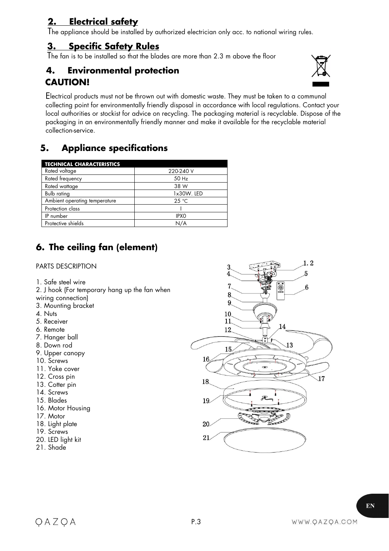# **2. Electrical safety**

The appliance should be installed by authorized electrician only acc. to national wiring rules.

## **3. Specific Safety Rules**

The fan is to be installed so that the blades are more than 2.3 m above the floor

# **4. Environmental protection CAUTION!**



Electrical products must not be thrown out with domestic waste.They must be taken to a communal collecting point for environmentally friendly disposal in accordance with local regulations. Contact your local authorities or stockist for advice on recycling. The packaging material is recyclable. Dispose of the packaging in an environmentally friendly manner and make it available for the recyclable material collection-service.

P.3

# **5. Appliance specifications**

| <b>TECHNICAL CHARACTERISTICS</b> |             |
|----------------------------------|-------------|
| Rated voltage                    | 220-240 V   |
| Rated frequency                  | 50 Hz       |
| Rated wattage                    | 38 W        |
| Bulb rating                      | 1x30W. LED  |
| Ambient operating temperature    | 25 °C       |
| Protection class                 |             |
| IP number                        | <b>IPXO</b> |
| Protective shields               | N/A         |

# **6. The ceiling fan (element)**

## PARTS DESCRIPTION

- 1. Safe steel wire
- 1. Sule sieel wile<br>
2. J hook (For temporary hang up the fan when<br>  $\frac{7}{8}$
- wiring connection)
- 3. Mounting bracket
- 4. Nuts
- 5. Receiver
- 6. Remote
- 7. Hanger ball
- 8. Down rod
- 9. Upper canopy
- 10. Screws
- 11. Yoke cover
- 12. Cross pin
- 13. Cotter pin
- 14. Screws
- 15. Blades
- 16. Motor Housing
- 17. Motor
- 18. Light plate
- 19. Screws
- 20. LED light kit
- 21. Shade

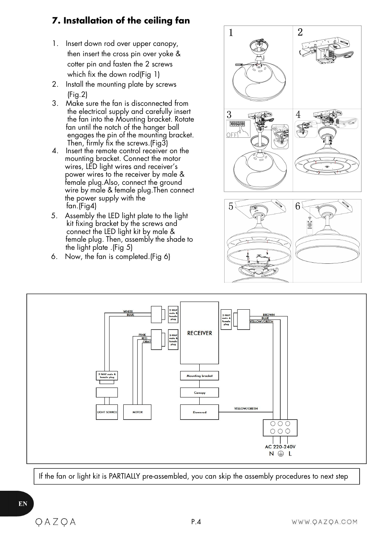# **7. Installation of the ceiling fan**

- 1. Insert down rod over upper canopy, then insert the cross pin over yoke & cotter pin and fasten the 2 screws which fix the down rod(Fig 1)
- 2. Install the mounting plate by screws (Fig.2)
- 3. Make sure the fan is disconnected from the electrical supply and carefully insert  $\sqrt{3}$ the fan into the Mounting bracket. Rotate  $\frac{1}{\sqrt{2}}$ fan until the notch of the hanger ball engages the pin of the mounting bracket. Then, firmly fix the screws.(Fig3)
- 4. Insert the remote control receiver on the mounting bracket. Connect the motor wires, LED light wires and receiver's power wires to the receiver by male & female plug. Also, connect the ground wire by male & female plug. Then connect the power supply with the fan.(Fig4)
- 5. Assembly the LED light plate to the light kit fixing bracket by the screws and connect the LED light kit by male & female plug. Then, assembly the shade to the light plate .(Fig 5)
- 6. Now, the fan is completed.(Fig 6)







If the fan or light kit is PARTIALLY pre-assembled, you can skip the assembly procedures to next step

EN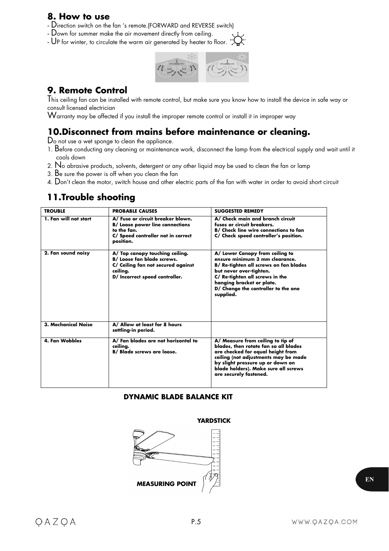## **8. How to use**

- Direction switch on the fan 's remote.(FORWARD and REVERSE switch)
- Down for summer make the air movement directly from ceiling.
- UP for winter, to circulate the warm air generated by heater to floor.



## **9. Remote Control**

This ceiling fan can be installed with remote control, but make sure you know how to install the device in safe way or consult licensed electrician

Warranty may be affected if you install the improper remote control or install it in improper way

# **10.Disconnect from mains before maintenance or cleaning.**

Do not use a wet sponge to clean the appliance.

- 1. Before conducting any cleaning or maintenance work, disconnect the lamp from the electrical supply and wait until it cools down
- 2. N<sup>o</sup> abrasive products, solvents, detergent or any other liquid may be used to clean the fan or lamp
- 3. B<sup>e</sup> sure the power is off when you clean the fan
- 4. Don't clean the motor, switch house and other electric parts of the fan with water in order to avoid short circuit

# **11.Trouble shooting**

| <b>TROUBLE</b>             | <b>PROBABLE CAUSES</b>                                                                                                                                   | <b>SUGGESTED REMEDY</b>                                                                                                                                                                                                                                       |
|----------------------------|----------------------------------------------------------------------------------------------------------------------------------------------------------|---------------------------------------------------------------------------------------------------------------------------------------------------------------------------------------------------------------------------------------------------------------|
| 1. Fan will not start      | A/ Fuse or circuit breaker blown.<br><b>B/ Loose power line connections</b><br>to the fan.<br>C/ Speed controller not in correct<br>position.            | A/ Check main and branch circuit<br>fuses or circuit breakers.<br>B/ Check line wire connections to fan<br>C/ Check speed controller's position.                                                                                                              |
| 2. Fan sound noisy         | A/ Top canopy touching ceiling.<br><b>B/ Loose fan blade screws.</b><br>C/ Ceiling fan not secured against<br>ceiling.<br>D/ Incorrect speed controller. | A/ Lower Canopy from ceiling to<br>ensure minimum 3 mm clearance.<br>B/ Re-tighten all screws on fan blades<br>but never over-tighten.<br>C/ Re-tighten all screws in the<br>hanging bracket or plate.<br>D/ Change the controller to the one<br>supplied.    |
| <b>3. Mechanical Noise</b> | A/ Allow at least for 8 hours<br>settling-in period.                                                                                                     |                                                                                                                                                                                                                                                               |
| <b>4. Fan Wobbles</b>      | A/ Fan blades are not horizontal to<br>ceiling.<br><b>B/ Blade screws are loose.</b>                                                                     | A/ Measure from ceiling to tip of<br>blades, then rotate fan so all blades<br>are checked for equal height from<br>ceiling (not adjustments may be made<br>by slight pressure up or down on<br>blade holders). Make sure all screws<br>are securely fastened. |

## **DYNAMIC BLADE BALANCE KIT**

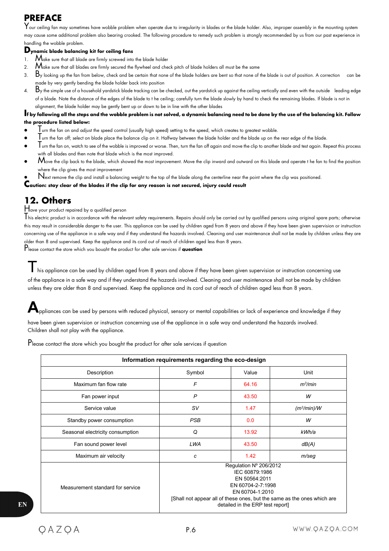# **PREFACE**

 $\mathsf{Y}$ our ceiling fan may sometimes have wobble problem when operate due to irregularity in blades or the blade holder. Also, improper assembly in the mounting system may cause some additional problem also bearing crooked. The following procedure to remedy such problem is strongly recommended by us from our past experience in handling the wobble problem.

### **Dynamic blade balancing kit for ceiling fans**

- 1.  $\mathsf{M}_{\mathsf{ake\ sure\ that\ all\ blade\ order}}$  ore firmly screwed into the blade holder
- 2.  $M$ ake sure that all blades are firmly secured the flywheel and check pitch of blade holders all must be the same
- 3.  $B$ y looking up the fan from below, check and be certain that none of the blade holders are bent so that none of the blade is out of position. A correction can be made by very gently bending the blade holder back into position
- 4.  $B$ y the simple use of a household yardstick blade tracking can be checked, out the yardstick up against the ceiling vertically and even with the outside leading edge of a blade. Note the distance of the edges of the blade to t he ceiling; carefully turn the blade slowly by hand to check the remaining blades. If blade is not in alignment, the blade holder may be gently bent up or down to be in line with the other blades

#### If by following all the steps and the wobble problem is not solved, a dynamic balancing need to be done by the use of the balancing kit. Follow **the procedure listed below:**

- $\mathsf T$ urn the fan on and adjust the speed control (usually high speed) setting to the speed, which creates to greatest wobble.
- Turn the fan off; select on blade place the balance clip on it. Halfway between the blade holder and the blade up on the rearedge of the blade.
- $\mathsf T$ urn the fan on, watch to see of the wobble is improved or worse. Then, turn the fan off again and move the clip to another blade and test again. Repeat this process with all blades and then note that blade which is the most improved.
- $\mathcal M$ ove the clip back to the blade, which showed the most improvement. Move the clip inward and outward on this blade and operate t he fan to find the position where the clip gives the most improvement
- Next remove the clip and install a balancing weight to the top of the blade along the centerline near the point where the clip was positioned.<br>Caution: stay clear of the blades if the clip for any reason is not secured,

# **12. Others**

Have your product repaired by a qualified person<br>This electric product is in accordance with the relevant safety requirements. Repairs should only be carried out by qualified persons using original spare parts; otherwise this may result in considerable danger to the user. This appliance can be used by children aged from 8 years and above if they have been given supervision or instruction concerning use of the appliance in a safe way and if they understand the hazards involved. Cleaning and user maintenance shall not be made by children unless they are older than 8 and supervised. Keep the appliance and its cord out of reach of children aged less than 8 years.

Please contact the store which you bought the product for after sale services if**question**

This appliance can be used by children aged from 8 years and above if they have been given supervision or instruction concerning use of the appliance in a safe way and if they understand the hazards involved. Cleaning and user maintenance shall not be made by children unless they are older than 8 and supervised. Keep the appliance and its cord out of reach of children aged less than 8 years.

**A**ppliances can be used by persons with reduced physical, sensory or mental capabilities orlack of experience and knowledge if they

have been given supervision or instruction concerning use of the appliance in a safe way and understand the hazards involved. Children shall not play with the appliance.

Please contact the store which you bought the product for after sale services if question

| Information requirements regarding the eco-design |                                                                                                                                                                                                                  |       |                         |  |  |
|---------------------------------------------------|------------------------------------------------------------------------------------------------------------------------------------------------------------------------------------------------------------------|-------|-------------------------|--|--|
| Description                                       | Symbol                                                                                                                                                                                                           | Value | Unit                    |  |  |
| Maximum fan flow rate                             | F                                                                                                                                                                                                                | 64.16 | $m^3/m$ in              |  |  |
| Fan power input                                   | P                                                                                                                                                                                                                | 43.50 | W                       |  |  |
| Service value                                     | sv                                                                                                                                                                                                               | 1.47  | (m <sup>3</sup> /min)/W |  |  |
| Standby power consumption                         | <b>PSB</b>                                                                                                                                                                                                       | 0.0   | W                       |  |  |
| Seasonal electricity consumption                  | Q                                                                                                                                                                                                                | 13.92 | kWh/a                   |  |  |
| Fan sound power level                             | LWA                                                                                                                                                                                                              | 43.50 | dB(A)                   |  |  |
| Maximum air velocity                              | c                                                                                                                                                                                                                | 1.42  | $m$ /seg                |  |  |
| Measurement standard for service                  | Regulation Nº 206/2012<br>IEC 60879:1986<br>EN 50564:2011<br>EN 60704-2-7:1998<br>EN 60704-1:2010<br>[Shall not appear all of these ones, but the same as the ones which are<br>detailed in the ERP test report] |       |                         |  |  |